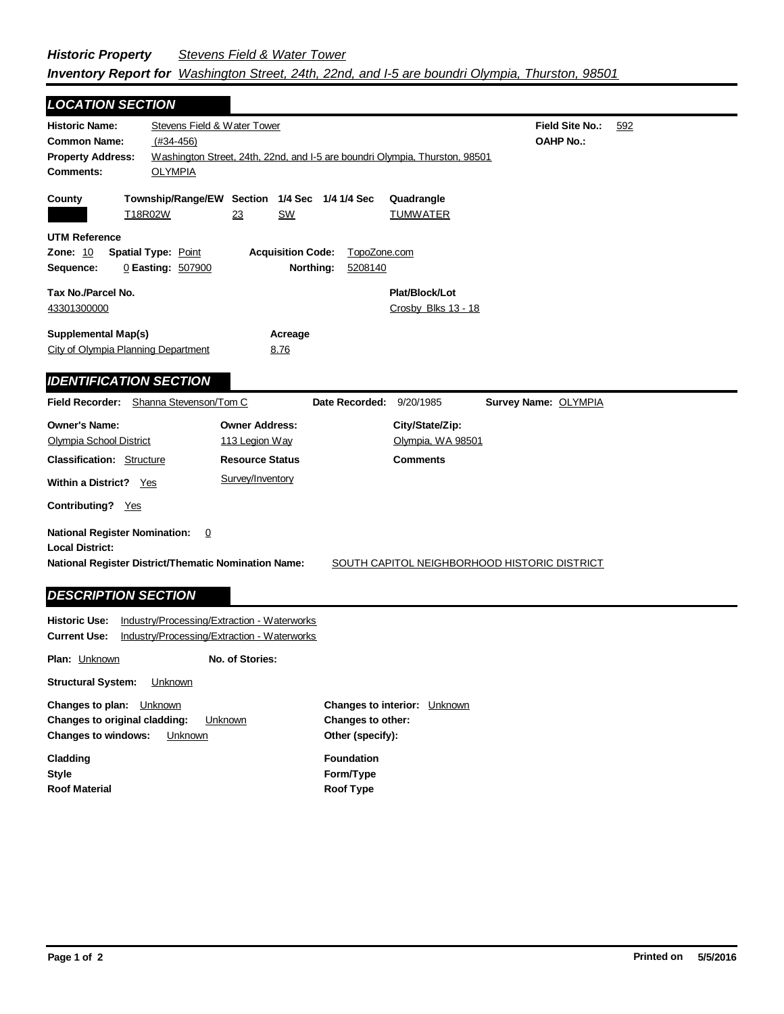| <b>LOCATION SECTION</b>                                                                   |                                                                             |                                              |  |  |  |  |
|-------------------------------------------------------------------------------------------|-----------------------------------------------------------------------------|----------------------------------------------|--|--|--|--|
| <b>Historic Name:</b>                                                                     | Stevens Field & Water Tower                                                 | <b>Field Site No.:</b><br>592                |  |  |  |  |
| <b>Common Name:</b>                                                                       | $(#34-456)$                                                                 | <b>OAHP No.:</b>                             |  |  |  |  |
| <b>Property Address:</b>                                                                  | Washington Street, 24th, 22nd, and I-5 are boundri Olympia, Thurston, 98501 |                                              |  |  |  |  |
| Comments:                                                                                 | <b>OLYMPIA</b>                                                              |                                              |  |  |  |  |
|                                                                                           |                                                                             |                                              |  |  |  |  |
| County<br>T18R02W                                                                         | Township/Range/EW Section 1/4 Sec 1/4 1/4 Sec<br>23<br>SW                   | Quadrangle<br><b>TUMWATER</b>                |  |  |  |  |
|                                                                                           |                                                                             |                                              |  |  |  |  |
| <b>UTM Reference</b>                                                                      |                                                                             |                                              |  |  |  |  |
| <b>Acquisition Code:</b><br>TopoZone.com<br><b>Zone: 10</b><br><b>Spatial Type: Point</b> |                                                                             |                                              |  |  |  |  |
| Sequence:                                                                                 | Northing:<br>0 Easting: 507900                                              | 5208140                                      |  |  |  |  |
| Tax No./Parcel No.                                                                        |                                                                             | Plat/Block/Lot                               |  |  |  |  |
| 43301300000                                                                               |                                                                             | Crosby Blks 13 - 18                          |  |  |  |  |
|                                                                                           |                                                                             |                                              |  |  |  |  |
|                                                                                           | <b>Supplemental Map(s)</b><br>Acreage                                       |                                              |  |  |  |  |
| City of Olympia Planning Department                                                       | 8.76                                                                        |                                              |  |  |  |  |
| <b>IDENTIFICATION SECTION</b>                                                             |                                                                             |                                              |  |  |  |  |
|                                                                                           |                                                                             |                                              |  |  |  |  |
| <b>Field Recorder:</b>                                                                    | Shanna Stevenson/Tom C<br>Date Recorded:                                    | 9/20/1985<br>Survey Name: OLYMPIA            |  |  |  |  |
| <b>Owner's Name:</b>                                                                      | <b>Owner Address:</b>                                                       | City/State/Zip:                              |  |  |  |  |
| <b>Olympia School District</b>                                                            | 113 Legion Way                                                              | Olympia, WA 98501                            |  |  |  |  |
| <b>Classification: Structure</b>                                                          | <b>Resource Status</b>                                                      | <b>Comments</b>                              |  |  |  |  |
| <b>Within a District?</b> Yes                                                             | Survey/Inventory                                                            |                                              |  |  |  |  |
|                                                                                           |                                                                             |                                              |  |  |  |  |
| Contributing? Yes                                                                         |                                                                             |                                              |  |  |  |  |
| <b>National Register Nomination:</b>                                                      | $\overline{0}$                                                              |                                              |  |  |  |  |
| <b>Local District:</b>                                                                    |                                                                             |                                              |  |  |  |  |
|                                                                                           | National Register District/Thematic Nomination Name:                        | SOUTH CAPITOL NEIGHBORHOOD HISTORIC DISTRICT |  |  |  |  |
|                                                                                           |                                                                             |                                              |  |  |  |  |
| <b>DESCRIPTION SECTION</b>                                                                |                                                                             |                                              |  |  |  |  |
| <b>Historic Use:</b>                                                                      | Industry/Processing/Extraction - Waterworks                                 |                                              |  |  |  |  |
| <b>Current Use:</b>                                                                       | Industry/Processing/Extraction - Waterworks                                 |                                              |  |  |  |  |
| <b>Plan: Unknown</b>                                                                      | No. of Stories:                                                             |                                              |  |  |  |  |

**Structural System:** Unknown

**Changes to plan:** Unknown **Changes to original cladding:** Unknown **Changes to windows:** Unknown

**Style Cladding Roof Material** **Other (specify): Changes to interior:** Unknown **Changes to other: Foundation**

**Form/Type Roof Type**